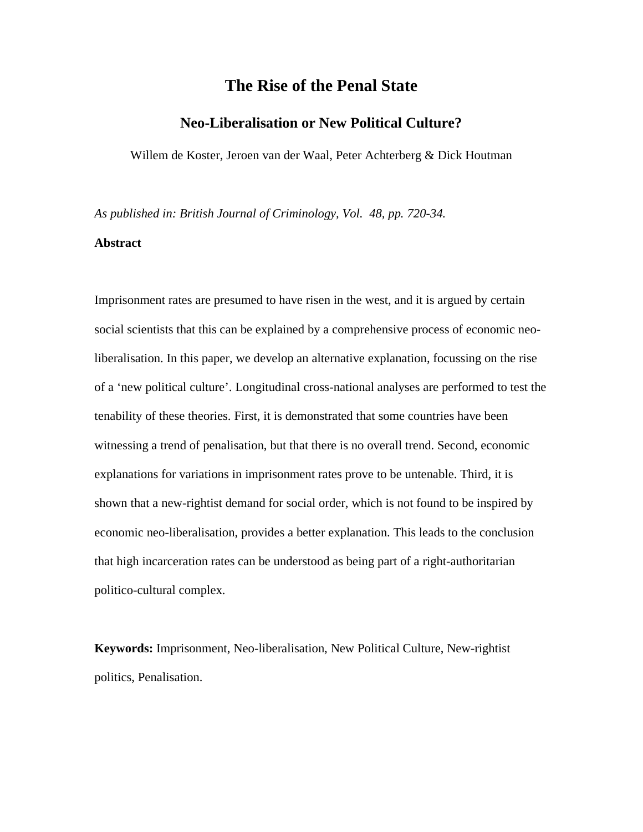# **The Rise of the Penal State**

## **Neo-Liberalisation or New Political Culture?**

Willem de Koster, Jeroen van der Waal, Peter Achterberg & Dick Houtman

*As published in: British Journal of Criminology, Vol. 48, pp. 720-34.* 

## **Abstract**

Imprisonment rates are presumed to have risen in the west, and it is argued by certain social scientists that this can be explained by a comprehensive process of economic neoliberalisation. In this paper, we develop an alternative explanation, focussing on the rise of a 'new political culture'. Longitudinal cross-national analyses are performed to test the tenability of these theories. First, it is demonstrated that some countries have been witnessing a trend of penalisation, but that there is no overall trend. Second, economic explanations for variations in imprisonment rates prove to be untenable. Third, it is shown that a new-rightist demand for social order, which is not found to be inspired by economic neo-liberalisation, provides a better explanation. This leads to the conclusion that high incarceration rates can be understood as being part of a right-authoritarian politico-cultural complex.

**Keywords:** Imprisonment, Neo-liberalisation, New Political Culture, New-rightist politics, Penalisation.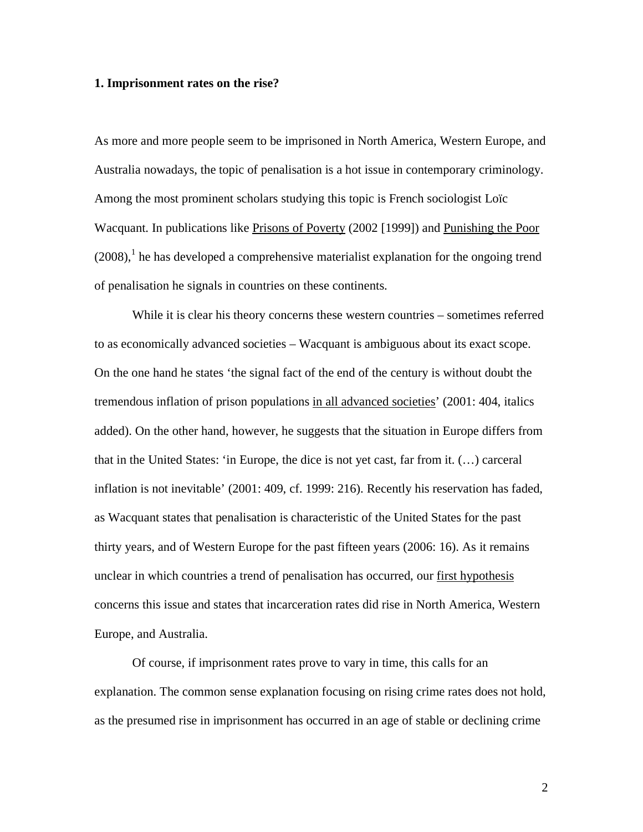#### **1. Imprisonment rates on the rise?**

As more and more people seem to be imprisoned in North America, Western Europe, and Australia nowadays, the topic of penalisation is a hot issue in contemporary criminology. Among the most prominent scholars studying this topic is French sociologist Loïc Wacquant. In publications like Prisons of Poverty (2002 [1999]) and Punishing the Poor  $(2008)$ ,<sup>1</sup> he has developed a comprehensive materialist explanation for the ongoing trend of penalisation he signals in countries on these continents.

 While it is clear his theory concerns these western countries – sometimes referred to as economically advanced societies – Wacquant is ambiguous about its exact scope. On the one hand he states 'the signal fact of the end of the century is without doubt the tremendous inflation of prison populations in all advanced societies' (2001: 404, italics added). On the other hand, however, he suggests that the situation in Europe differs from that in the United States: 'in Europe, the dice is not yet cast, far from it. (…) carceral inflation is not inevitable' (2001: 409, cf. 1999: 216). Recently his reservation has faded, as Wacquant states that penalisation is characteristic of the United States for the past thirty years, and of Western Europe for the past fifteen years (2006: 16). As it remains unclear in which countries a trend of penalisation has occurred, our first hypothesis concerns this issue and states that incarceration rates did rise in North America, Western Europe, and Australia.

Of course, if imprisonment rates prove to vary in time, this calls for an explanation. The common sense explanation focusing on rising crime rates does not hold, as the presumed rise in imprisonment has occurred in an age of stable or declining crime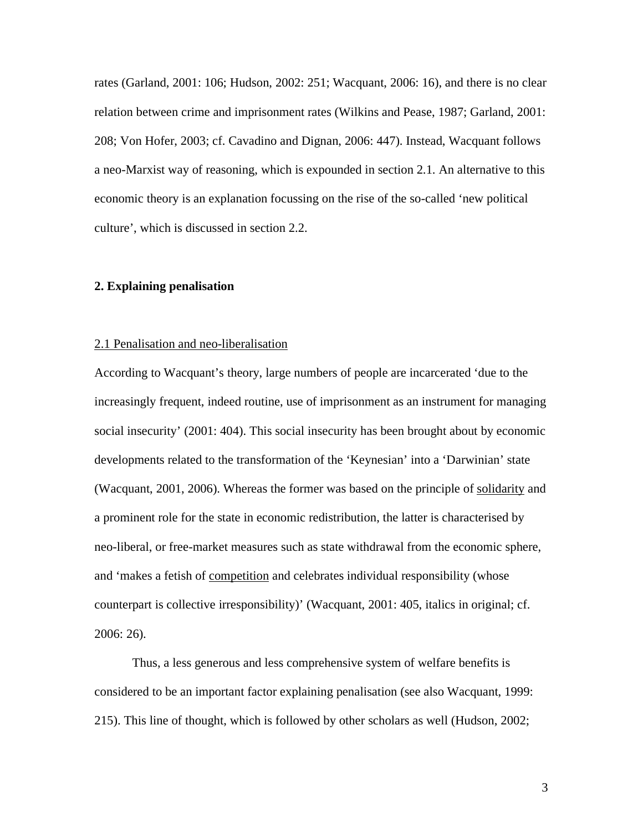rates (Garland, 2001: 106; Hudson, 2002: 251; Wacquant, 2006: 16), and there is no clear relation between crime and imprisonment rates (Wilkins and Pease, 1987; Garland, 2001: 208; Von Hofer, 2003; cf. Cavadino and Dignan, 2006: 447). Instead, Wacquant follows a neo-Marxist way of reasoning, which is expounded in section 2.1. An alternative to this economic theory is an explanation focussing on the rise of the so-called 'new political culture', which is discussed in section 2.2.

## **2. Explaining penalisation**

#### 2.1 Penalisation and neo-liberalisation

According to Wacquant's theory, large numbers of people are incarcerated 'due to the increasingly frequent, indeed routine, use of imprisonment as an instrument for managing social insecurity' (2001: 404). This social insecurity has been brought about by economic developments related to the transformation of the 'Keynesian' into a 'Darwinian' state (Wacquant, 2001, 2006). Whereas the former was based on the principle of solidarity and a prominent role for the state in economic redistribution, the latter is characterised by neo-liberal, or free-market measures such as state withdrawal from the economic sphere, and 'makes a fetish of competition and celebrates individual responsibility (whose counterpart is collective irresponsibility)' (Wacquant, 2001: 405, italics in original; cf. 2006: 26).

Thus, a less generous and less comprehensive system of welfare benefits is considered to be an important factor explaining penalisation (see also Wacquant, 1999: 215). This line of thought, which is followed by other scholars as well (Hudson, 2002;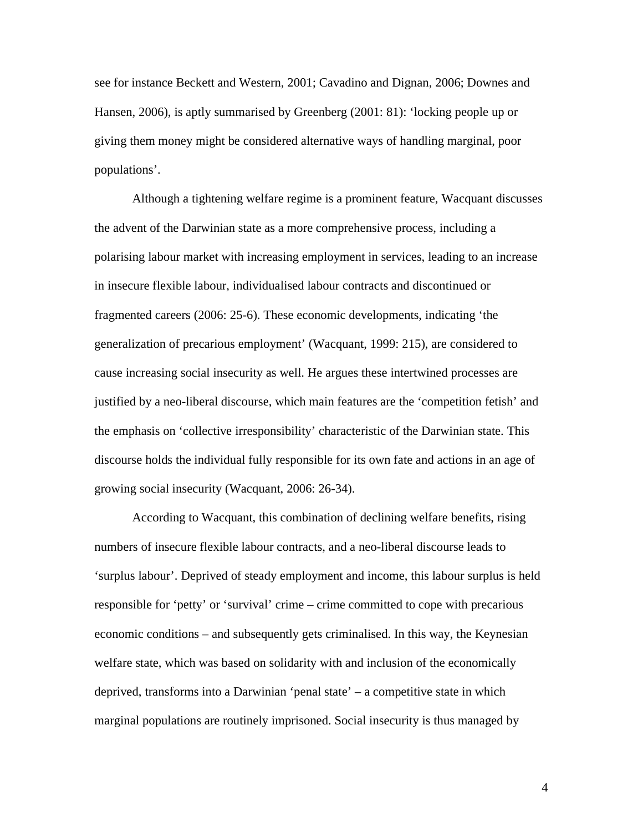see for instance Beckett and Western, 2001; Cavadino and Dignan, 2006; Downes and Hansen, 2006), is aptly summarised by Greenberg (2001: 81): 'locking people up or giving them money might be considered alternative ways of handling marginal, poor populations'.

 Although a tightening welfare regime is a prominent feature, Wacquant discusses the advent of the Darwinian state as a more comprehensive process, including a polarising labour market with increasing employment in services, leading to an increase in insecure flexible labour, individualised labour contracts and discontinued or fragmented careers (2006: 25-6). These economic developments, indicating 'the generalization of precarious employment' (Wacquant, 1999: 215), are considered to cause increasing social insecurity as well. He argues these intertwined processes are justified by a neo-liberal discourse, which main features are the 'competition fetish' and the emphasis on 'collective irresponsibility' characteristic of the Darwinian state. This discourse holds the individual fully responsible for its own fate and actions in an age of growing social insecurity (Wacquant, 2006: 26-34).

 According to Wacquant, this combination of declining welfare benefits, rising numbers of insecure flexible labour contracts, and a neo-liberal discourse leads to 'surplus labour'. Deprived of steady employment and income, this labour surplus is held responsible for 'petty' or 'survival' crime – crime committed to cope with precarious economic conditions – and subsequently gets criminalised. In this way, the Keynesian welfare state, which was based on solidarity with and inclusion of the economically deprived, transforms into a Darwinian 'penal state' – a competitive state in which marginal populations are routinely imprisoned. Social insecurity is thus managed by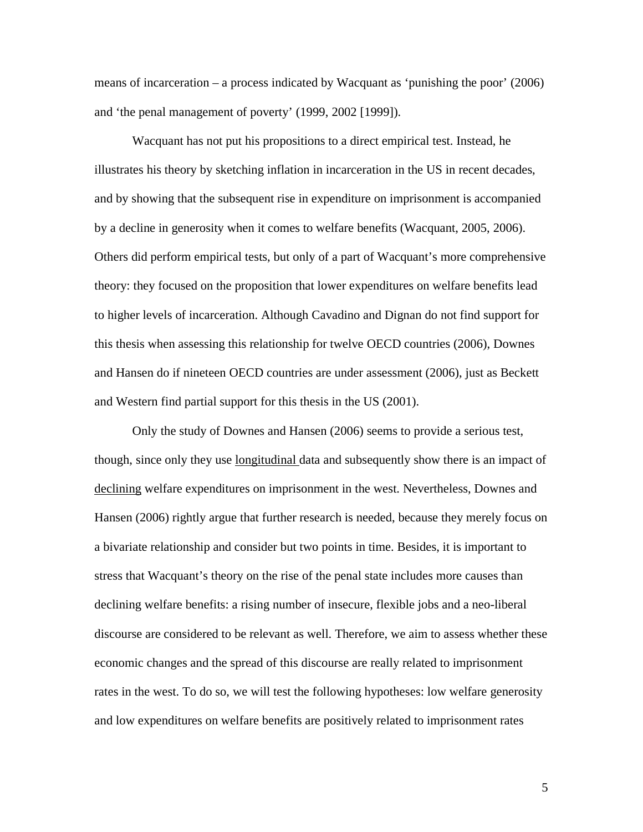means of incarceration – a process indicated by Wacquant as 'punishing the poor' (2006) and 'the penal management of poverty' (1999, 2002 [1999]).

 Wacquant has not put his propositions to a direct empirical test. Instead, he illustrates his theory by sketching inflation in incarceration in the US in recent decades, and by showing that the subsequent rise in expenditure on imprisonment is accompanied by a decline in generosity when it comes to welfare benefits (Wacquant, 2005, 2006). Others did perform empirical tests, but only of a part of Wacquant's more comprehensive theory: they focused on the proposition that lower expenditures on welfare benefits lead to higher levels of incarceration. Although Cavadino and Dignan do not find support for this thesis when assessing this relationship for twelve OECD countries (2006), Downes and Hansen do if nineteen OECD countries are under assessment (2006), just as Beckett and Western find partial support for this thesis in the US (2001).

Only the study of Downes and Hansen (2006) seems to provide a serious test, though, since only they use longitudinal data and subsequently show there is an impact of declining welfare expenditures on imprisonment in the west. Nevertheless, Downes and Hansen (2006) rightly argue that further research is needed, because they merely focus on a bivariate relationship and consider but two points in time. Besides, it is important to stress that Wacquant's theory on the rise of the penal state includes more causes than declining welfare benefits: a rising number of insecure, flexible jobs and a neo-liberal discourse are considered to be relevant as well. Therefore, we aim to assess whether these economic changes and the spread of this discourse are really related to imprisonment rates in the west. To do so, we will test the following hypotheses: low welfare generosity and low expenditures on welfare benefits are positively related to imprisonment rates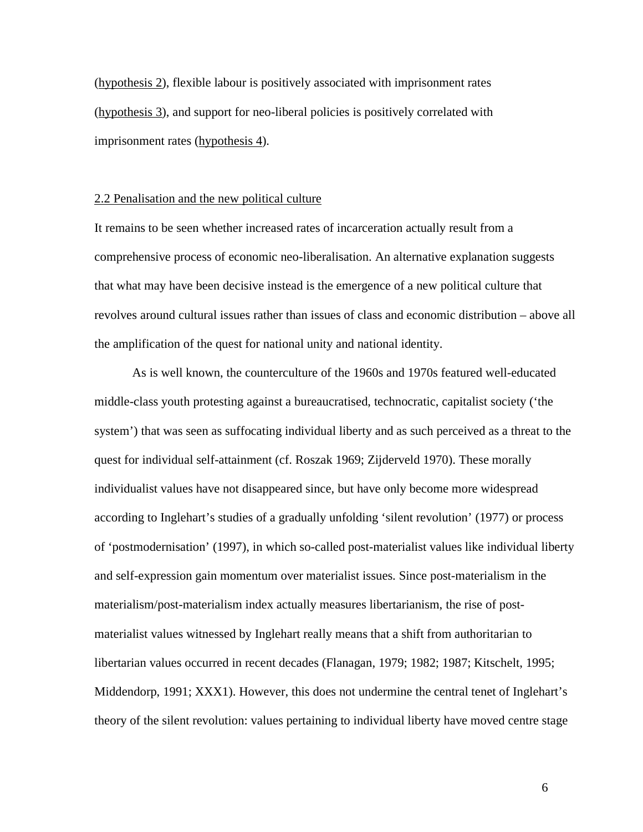(hypothesis 2), flexible labour is positively associated with imprisonment rates (hypothesis 3), and support for neo-liberal policies is positively correlated with imprisonment rates (hypothesis 4).

#### 2.2 Penalisation and the new political culture

It remains to be seen whether increased rates of incarceration actually result from a comprehensive process of economic neo-liberalisation. An alternative explanation suggests that what may have been decisive instead is the emergence of a new political culture that revolves around cultural issues rather than issues of class and economic distribution – above all the amplification of the quest for national unity and national identity.

As is well known, the counterculture of the 1960s and 1970s featured well-educated middle-class youth protesting against a bureaucratised, technocratic, capitalist society ('the system') that was seen as suffocating individual liberty and as such perceived as a threat to the quest for individual self-attainment (cf. Roszak 1969; Zijderveld 1970). These morally individualist values have not disappeared since, but have only become more widespread according to Inglehart's studies of a gradually unfolding 'silent revolution' (1977) or process of 'postmodernisation' (1997), in which so-called post-materialist values like individual liberty and self-expression gain momentum over materialist issues. Since post-materialism in the materialism/post-materialism index actually measures libertarianism, the rise of postmaterialist values witnessed by Inglehart really means that a shift from authoritarian to libertarian values occurred in recent decades (Flanagan, 1979; 1982; 1987; Kitschelt, 1995; Middendorp, 1991; XXX1). However, this does not undermine the central tenet of Inglehart's theory of the silent revolution: values pertaining to individual liberty have moved centre stage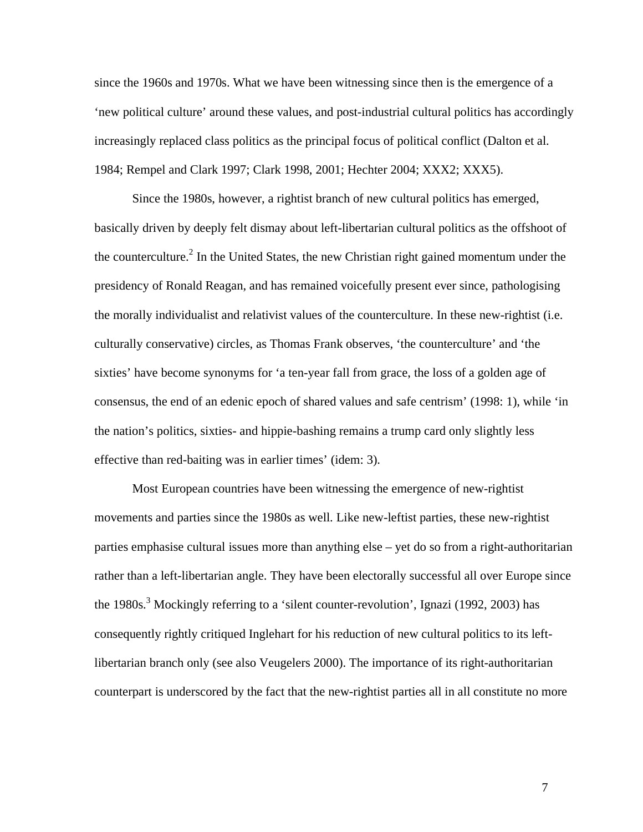since the 1960s and 1970s. What we have been witnessing since then is the emergence of a 'new political culture' around these values, and post-industrial cultural politics has accordingly increasingly replaced class politics as the principal focus of political conflict (Dalton et al. 1984; Rempel and Clark 1997; Clark 1998, 2001; Hechter 2004; XXX2; XXX5).

Since the 1980s, however, a rightist branch of new cultural politics has emerged, basically driven by deeply felt dismay about left-libertarian cultural politics as the offshoot of the counterculture.<sup>2</sup> In the United States, the new Christian right gained momentum under the presidency of Ronald Reagan, and has remained voicefully present ever since, pathologising the morally individualist and relativist values of the counterculture. In these new-rightist (i.e. culturally conservative) circles, as Thomas Frank observes, 'the counterculture' and 'the sixties' have become synonyms for 'a ten-year fall from grace, the loss of a golden age of consensus, the end of an edenic epoch of shared values and safe centrism' (1998: 1), while 'in the nation's politics, sixties- and hippie-bashing remains a trump card only slightly less effective than red-baiting was in earlier times' (idem: 3).

Most European countries have been witnessing the emergence of new-rightist movements and parties since the 1980s as well. Like new-leftist parties, these new-rightist parties emphasise cultural issues more than anything else – yet do so from a right-authoritarian rather than a left-libertarian angle. They have been electorally successful all over Europe since the 1980s.<sup>3</sup> Mockingly referring to a 'silent counter-revolution', Ignazi (1992, 2003) has consequently rightly critiqued Inglehart for his reduction of new cultural politics to its leftlibertarian branch only (see also Veugelers 2000). The importance of its right-authoritarian counterpart is underscored by the fact that the new-rightist parties all in all constitute no more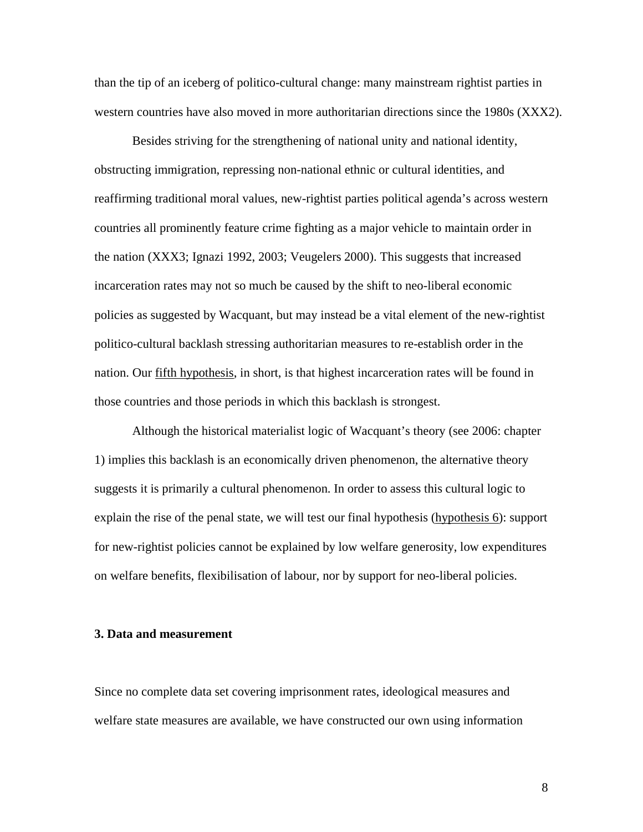than the tip of an iceberg of politico-cultural change: many mainstream rightist parties in western countries have also moved in more authoritarian directions since the 1980s (XXX2).

Besides striving for the strengthening of national unity and national identity, obstructing immigration, repressing non-national ethnic or cultural identities, and reaffirming traditional moral values, new-rightist parties political agenda's across western countries all prominently feature crime fighting as a major vehicle to maintain order in the nation (XXX3; Ignazi 1992, 2003; Veugelers 2000). This suggests that increased incarceration rates may not so much be caused by the shift to neo-liberal economic policies as suggested by Wacquant, but may instead be a vital element of the new-rightist politico-cultural backlash stressing authoritarian measures to re-establish order in the nation. Our fifth hypothesis, in short, is that highest incarceration rates will be found in those countries and those periods in which this backlash is strongest.

Although the historical materialist logic of Wacquant's theory (see 2006: chapter 1) implies this backlash is an economically driven phenomenon, the alternative theory suggests it is primarily a cultural phenomenon. In order to assess this cultural logic to explain the rise of the penal state, we will test our final hypothesis (hypothesis 6): support for new-rightist policies cannot be explained by low welfare generosity, low expenditures on welfare benefits, flexibilisation of labour, nor by support for neo-liberal policies.

#### **3. Data and measurement**

Since no complete data set covering imprisonment rates, ideological measures and welfare state measures are available, we have constructed our own using information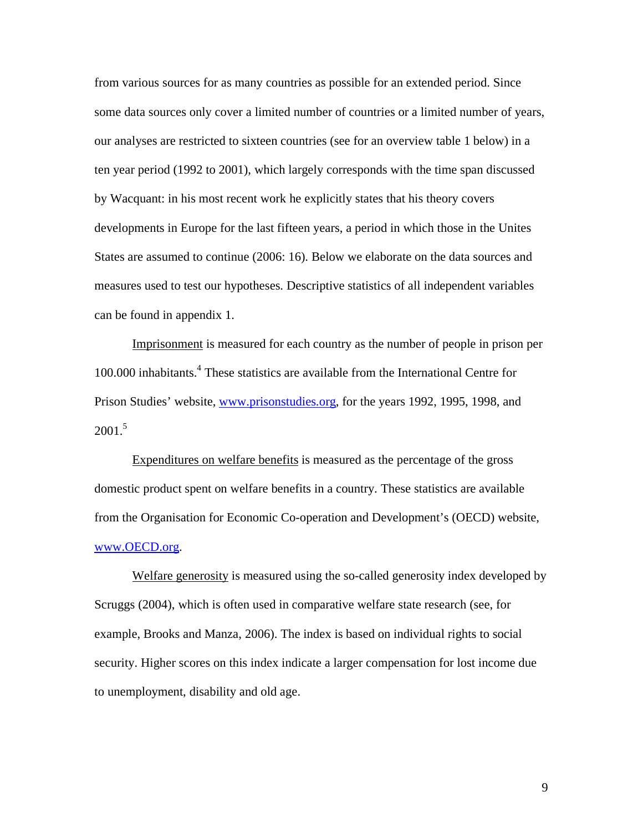from various sources for as many countries as possible for an extended period. Since some data sources only cover a limited number of countries or a limited number of years, our analyses are restricted to sixteen countries (see for an overview table 1 below) in a ten year period (1992 to 2001), which largely corresponds with the time span discussed by Wacquant: in his most recent work he explicitly states that his theory covers developments in Europe for the last fifteen years, a period in which those in the Unites States are assumed to continue (2006: 16). Below we elaborate on the data sources and measures used to test our hypotheses. Descriptive statistics of all independent variables can be found in appendix 1.

Imprisonment is measured for each country as the number of people in prison per 100.000 inhabitants.<sup>4</sup> These statistics are available from the International Centre for Prison Studies' website, www.prisonstudies.org, for the years 1992, 1995, 1998, and  $2001^{5}$ 

Expenditures on welfare benefits is measured as the percentage of the gross domestic product spent on welfare benefits in a country. These statistics are available from the Organisation for Economic Co-operation and Development's (OECD) website, www.OECD.org.

Welfare generosity is measured using the so-called generosity index developed by Scruggs (2004), which is often used in comparative welfare state research (see, for example, Brooks and Manza, 2006). The index is based on individual rights to social security. Higher scores on this index indicate a larger compensation for lost income due to unemployment, disability and old age.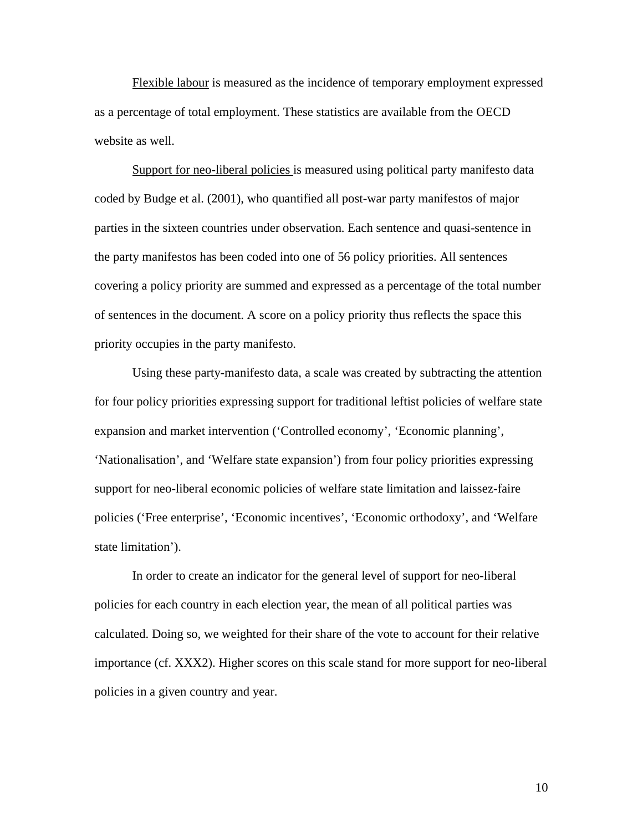Flexible labour is measured as the incidence of temporary employment expressed as a percentage of total employment. These statistics are available from the OECD website as well.

Support for neo-liberal policies is measured using political party manifesto data coded by Budge et al. (2001), who quantified all post-war party manifestos of major parties in the sixteen countries under observation. Each sentence and quasi-sentence in the party manifestos has been coded into one of 56 policy priorities. All sentences covering a policy priority are summed and expressed as a percentage of the total number of sentences in the document. A score on a policy priority thus reflects the space this priority occupies in the party manifesto.

 Using these party-manifesto data, a scale was created by subtracting the attention for four policy priorities expressing support for traditional leftist policies of welfare state expansion and market intervention ('Controlled economy', 'Economic planning', 'Nationalisation', and 'Welfare state expansion') from four policy priorities expressing support for neo-liberal economic policies of welfare state limitation and laissez-faire policies ('Free enterprise', 'Economic incentives', 'Economic orthodoxy', and 'Welfare state limitation').

In order to create an indicator for the general level of support for neo-liberal policies for each country in each election year, the mean of all political parties was calculated. Doing so, we weighted for their share of the vote to account for their relative importance (cf. XXX2). Higher scores on this scale stand for more support for neo-liberal policies in a given country and year.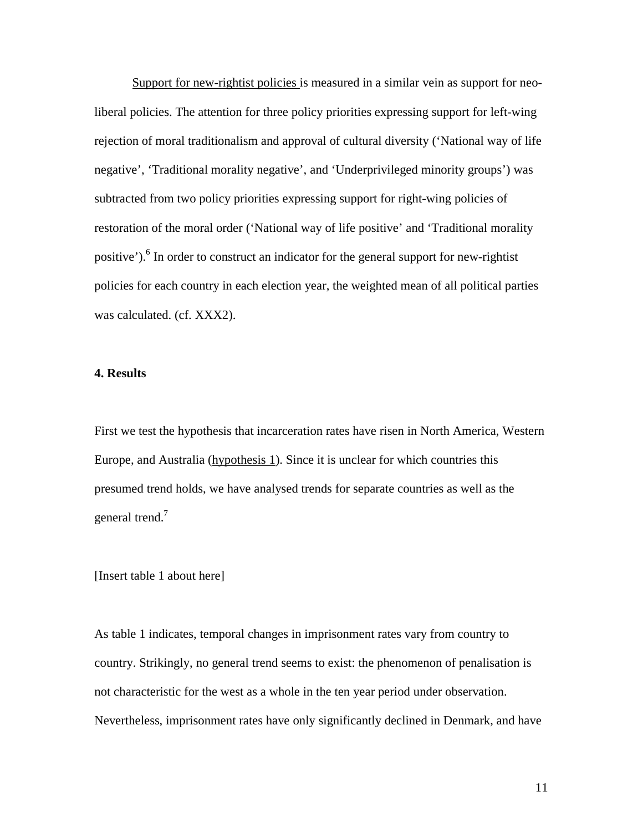Support for new-rightist policies is measured in a similar vein as support for neoliberal policies. The attention for three policy priorities expressing support for left-wing rejection of moral traditionalism and approval of cultural diversity ('National way of life negative', 'Traditional morality negative', and 'Underprivileged minority groups') was subtracted from two policy priorities expressing support for right-wing policies of restoration of the moral order ('National way of life positive' and 'Traditional morality positive').<sup>6</sup> In order to construct an indicator for the general support for new-rightist policies for each country in each election year, the weighted mean of all political parties was calculated. (cf. XXX2).

## **4. Results**

First we test the hypothesis that incarceration rates have risen in North America, Western Europe, and Australia (hypothesis 1). Since it is unclear for which countries this presumed trend holds, we have analysed trends for separate countries as well as the general trend.<sup>7</sup>

### [Insert table 1 about here]

As table 1 indicates, temporal changes in imprisonment rates vary from country to country. Strikingly, no general trend seems to exist: the phenomenon of penalisation is not characteristic for the west as a whole in the ten year period under observation. Nevertheless, imprisonment rates have only significantly declined in Denmark, and have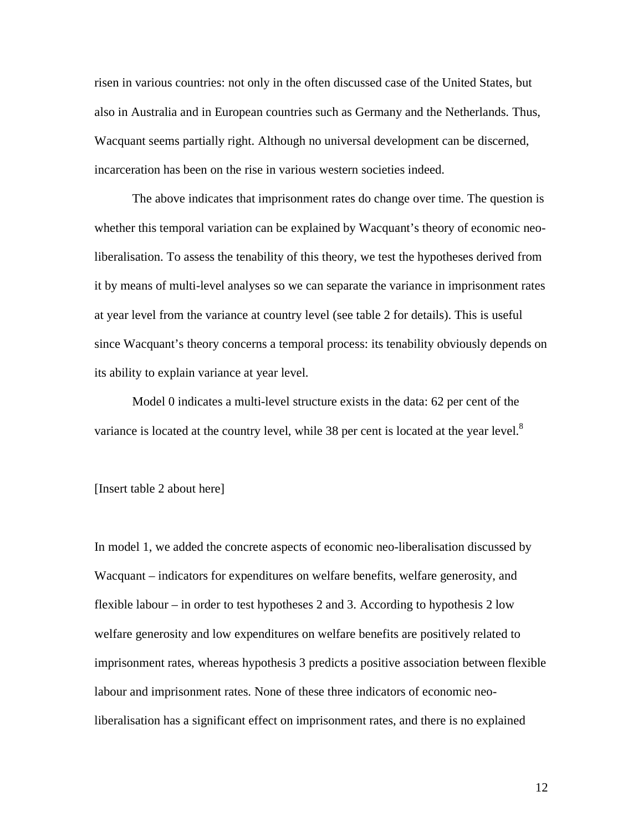risen in various countries: not only in the often discussed case of the United States, but also in Australia and in European countries such as Germany and the Netherlands. Thus, Wacquant seems partially right. Although no universal development can be discerned, incarceration has been on the rise in various western societies indeed.

 The above indicates that imprisonment rates do change over time. The question is whether this temporal variation can be explained by Wacquant's theory of economic neoliberalisation. To assess the tenability of this theory, we test the hypotheses derived from it by means of multi-level analyses so we can separate the variance in imprisonment rates at year level from the variance at country level (see table 2 for details). This is useful since Wacquant's theory concerns a temporal process: its tenability obviously depends on its ability to explain variance at year level.

Model 0 indicates a multi-level structure exists in the data: 62 per cent of the variance is located at the country level, while 38 per cent is located at the year level. $8$ 

#### [Insert table 2 about here]

In model 1, we added the concrete aspects of economic neo-liberalisation discussed by Wacquant – indicators for expenditures on welfare benefits, welfare generosity, and flexible labour – in order to test hypotheses 2 and 3. According to hypothesis 2 low welfare generosity and low expenditures on welfare benefits are positively related to imprisonment rates, whereas hypothesis 3 predicts a positive association between flexible labour and imprisonment rates. None of these three indicators of economic neoliberalisation has a significant effect on imprisonment rates, and there is no explained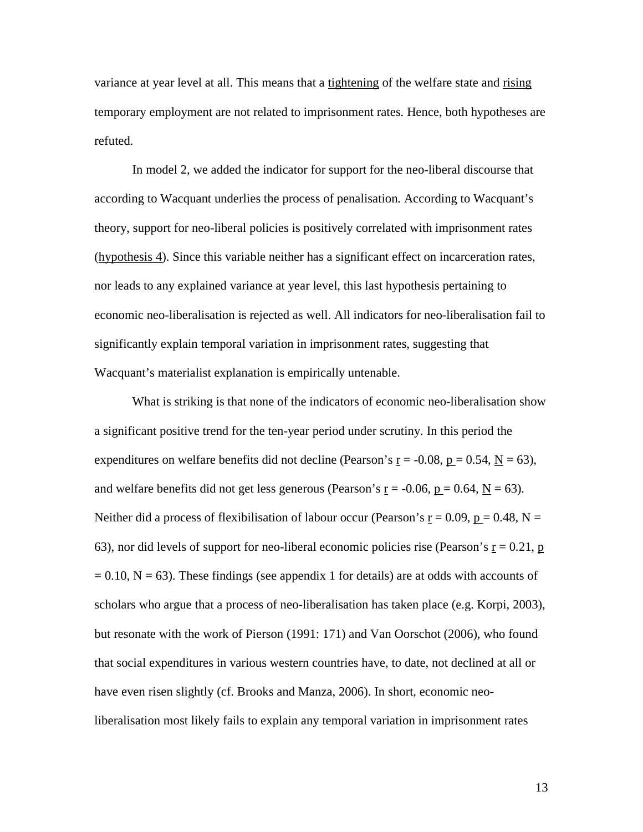variance at year level at all. This means that a tightening of the welfare state and rising temporary employment are not related to imprisonment rates. Hence, both hypotheses are refuted.

 In model 2, we added the indicator for support for the neo-liberal discourse that according to Wacquant underlies the process of penalisation. According to Wacquant's theory, support for neo-liberal policies is positively correlated with imprisonment rates (hypothesis 4). Since this variable neither has a significant effect on incarceration rates, nor leads to any explained variance at year level, this last hypothesis pertaining to economic neo-liberalisation is rejected as well. All indicators for neo-liberalisation fail to significantly explain temporal variation in imprisonment rates, suggesting that Wacquant's materialist explanation is empirically untenable.

What is striking is that none of the indicators of economic neo-liberalisation show a significant positive trend for the ten-year period under scrutiny. In this period the expenditures on welfare benefits did not decline (Pearson's  $r = -0.08$ ,  $p = 0.54$ ,  $N = 63$ ), and welfare benefits did not get less generous (Pearson's  $r = -0.06$ ,  $p = 0.64$ ,  $N = 63$ ). Neither did a process of flexibilisation of labour occur (Pearson's  $r = 0.09$ ,  $p = 0.48$ , N = 63), nor did levels of support for neo-liberal economic policies rise (Pearson's  $r = 0.21$ , p  $= 0.10$ , N  $= 63$ ). These findings (see appendix 1 for details) are at odds with accounts of scholars who argue that a process of neo-liberalisation has taken place (e.g. Korpi, 2003), but resonate with the work of Pierson (1991: 171) and Van Oorschot (2006), who found that social expenditures in various western countries have, to date, not declined at all or have even risen slightly (cf. Brooks and Manza, 2006). In short, economic neoliberalisation most likely fails to explain any temporal variation in imprisonment rates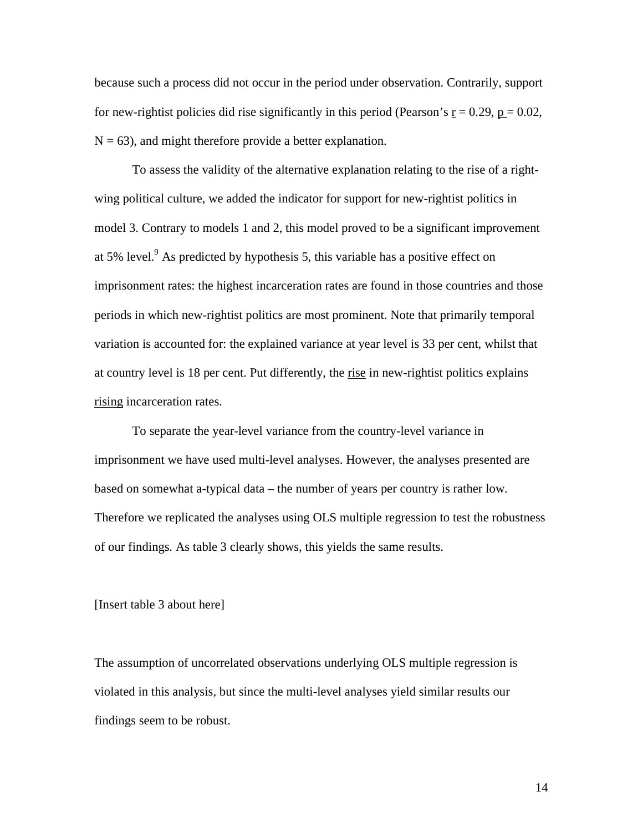because such a process did not occur in the period under observation. Contrarily, support for new-rightist policies did rise significantly in this period (Pearson's  $r = 0.29$ ,  $p = 0.02$ ,  $N = 63$ ), and might therefore provide a better explanation.

To assess the validity of the alternative explanation relating to the rise of a rightwing political culture, we added the indicator for support for new-rightist politics in model 3. Contrary to models 1 and 2, this model proved to be a significant improvement at 5% level. $9$  As predicted by hypothesis 5, this variable has a positive effect on imprisonment rates: the highest incarceration rates are found in those countries and those periods in which new-rightist politics are most prominent. Note that primarily temporal variation is accounted for: the explained variance at year level is 33 per cent, whilst that at country level is 18 per cent. Put differently, the rise in new-rightist politics explains rising incarceration rates.

To separate the year-level variance from the country-level variance in imprisonment we have used multi-level analyses. However, the analyses presented are based on somewhat a-typical data – the number of years per country is rather low. Therefore we replicated the analyses using OLS multiple regression to test the robustness of our findings. As table 3 clearly shows, this yields the same results.

#### [Insert table 3 about here]

The assumption of uncorrelated observations underlying OLS multiple regression is violated in this analysis, but since the multi-level analyses yield similar results our findings seem to be robust.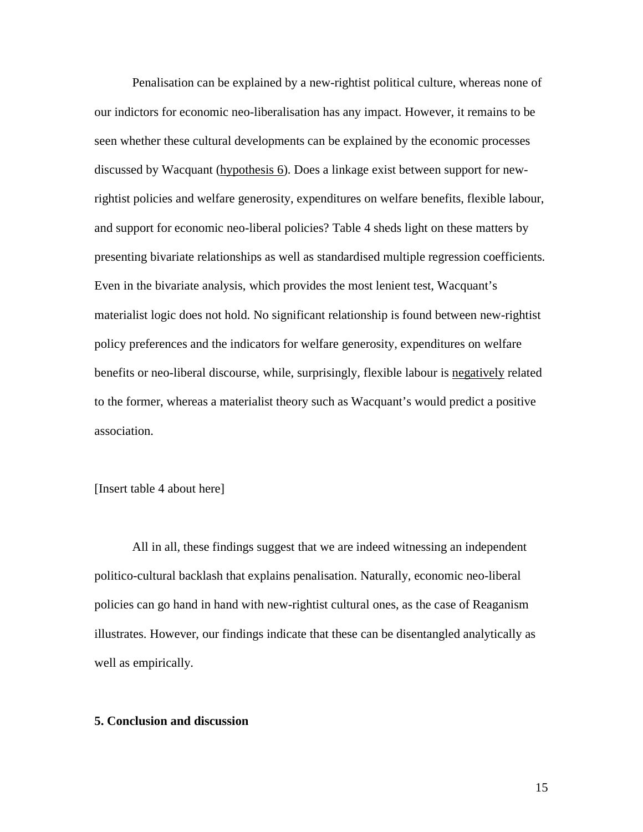Penalisation can be explained by a new-rightist political culture, whereas none of our indictors for economic neo-liberalisation has any impact. However, it remains to be seen whether these cultural developments can be explained by the economic processes discussed by Wacquant (hypothesis 6). Does a linkage exist between support for newrightist policies and welfare generosity, expenditures on welfare benefits, flexible labour, and support for economic neo-liberal policies? Table 4 sheds light on these matters by presenting bivariate relationships as well as standardised multiple regression coefficients. Even in the bivariate analysis, which provides the most lenient test, Wacquant's materialist logic does not hold. No significant relationship is found between new-rightist policy preferences and the indicators for welfare generosity, expenditures on welfare benefits or neo-liberal discourse, while, surprisingly, flexible labour is negatively related to the former, whereas a materialist theory such as Wacquant's would predict a positive association.

## [Insert table 4 about here]

All in all, these findings suggest that we are indeed witnessing an independent politico-cultural backlash that explains penalisation. Naturally, economic neo-liberal policies can go hand in hand with new-rightist cultural ones, as the case of Reaganism illustrates. However, our findings indicate that these can be disentangled analytically as well as empirically.

#### **5. Conclusion and discussion**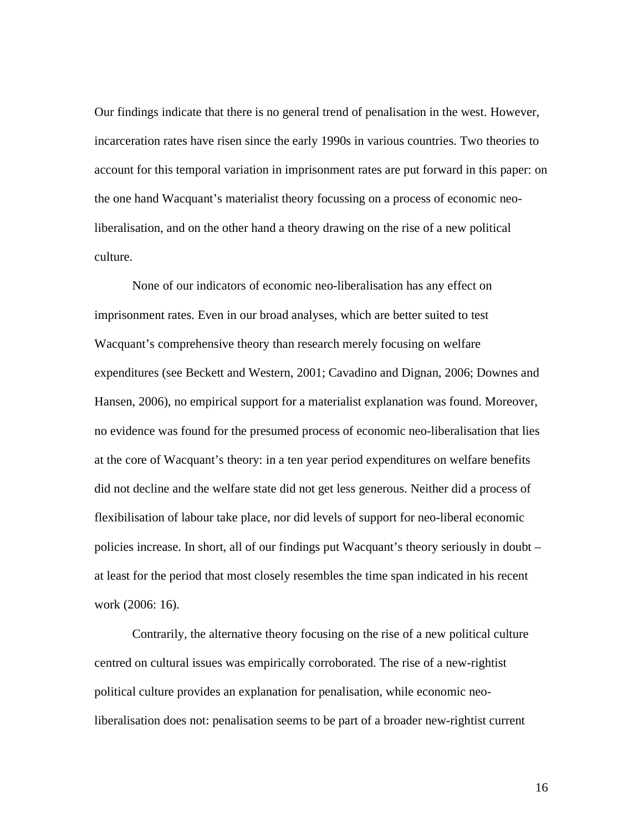Our findings indicate that there is no general trend of penalisation in the west. However, incarceration rates have risen since the early 1990s in various countries. Two theories to account for this temporal variation in imprisonment rates are put forward in this paper: on the one hand Wacquant's materialist theory focussing on a process of economic neoliberalisation, and on the other hand a theory drawing on the rise of a new political culture.

 None of our indicators of economic neo-liberalisation has any effect on imprisonment rates. Even in our broad analyses, which are better suited to test Wacquant's comprehensive theory than research merely focusing on welfare expenditures (see Beckett and Western, 2001; Cavadino and Dignan, 2006; Downes and Hansen, 2006), no empirical support for a materialist explanation was found. Moreover, no evidence was found for the presumed process of economic neo-liberalisation that lies at the core of Wacquant's theory: in a ten year period expenditures on welfare benefits did not decline and the welfare state did not get less generous. Neither did a process of flexibilisation of labour take place, nor did levels of support for neo-liberal economic policies increase. In short, all of our findings put Wacquant's theory seriously in doubt – at least for the period that most closely resembles the time span indicated in his recent work (2006: 16).

 Contrarily, the alternative theory focusing on the rise of a new political culture centred on cultural issues was empirically corroborated. The rise of a new-rightist political culture provides an explanation for penalisation, while economic neoliberalisation does not: penalisation seems to be part of a broader new-rightist current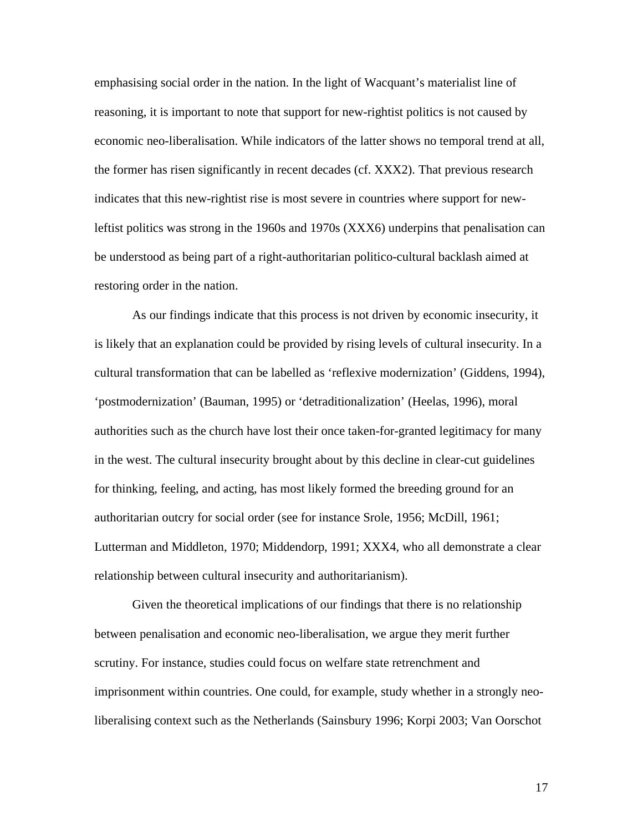emphasising social order in the nation. In the light of Wacquant's materialist line of reasoning, it is important to note that support for new-rightist politics is not caused by economic neo-liberalisation. While indicators of the latter shows no temporal trend at all, the former has risen significantly in recent decades (cf. XXX2). That previous research indicates that this new-rightist rise is most severe in countries where support for newleftist politics was strong in the 1960s and 1970s (XXX6) underpins that penalisation can be understood as being part of a right-authoritarian politico-cultural backlash aimed at restoring order in the nation.

As our findings indicate that this process is not driven by economic insecurity, it is likely that an explanation could be provided by rising levels of cultural insecurity. In a cultural transformation that can be labelled as 'reflexive modernization' (Giddens, 1994), 'postmodernization' (Bauman, 1995) or 'detraditionalization' (Heelas, 1996), moral authorities such as the church have lost their once taken-for-granted legitimacy for many in the west. The cultural insecurity brought about by this decline in clear-cut guidelines for thinking, feeling, and acting, has most likely formed the breeding ground for an authoritarian outcry for social order (see for instance Srole, 1956; McDill, 1961; Lutterman and Middleton, 1970; Middendorp, 1991; XXX4, who all demonstrate a clear relationship between cultural insecurity and authoritarianism).

Given the theoretical implications of our findings that there is no relationship between penalisation and economic neo-liberalisation, we argue they merit further scrutiny. For instance, studies could focus on welfare state retrenchment and imprisonment within countries. One could, for example, study whether in a strongly neoliberalising context such as the Netherlands (Sainsbury 1996; Korpi 2003; Van Oorschot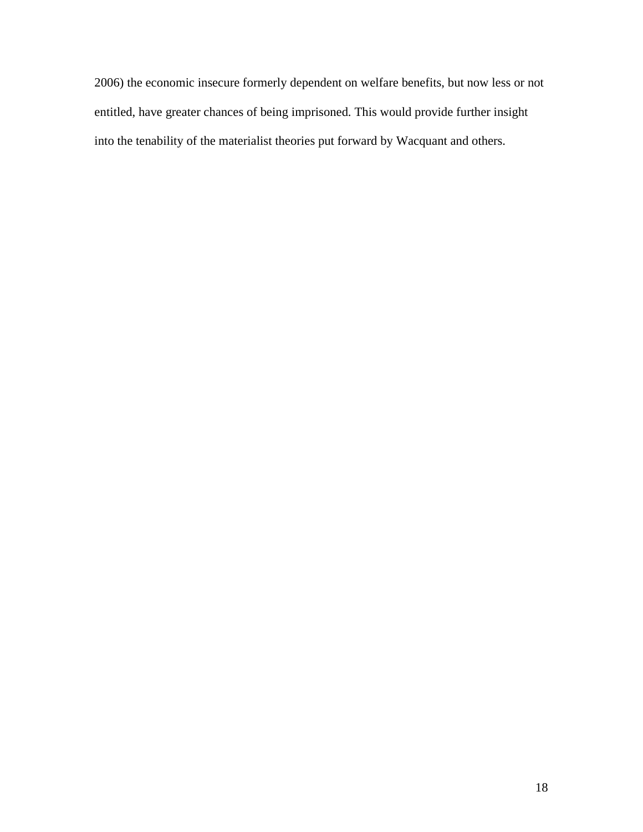2006) the economic insecure formerly dependent on welfare benefits, but now less or not entitled, have greater chances of being imprisoned. This would provide further insight into the tenability of the materialist theories put forward by Wacquant and others.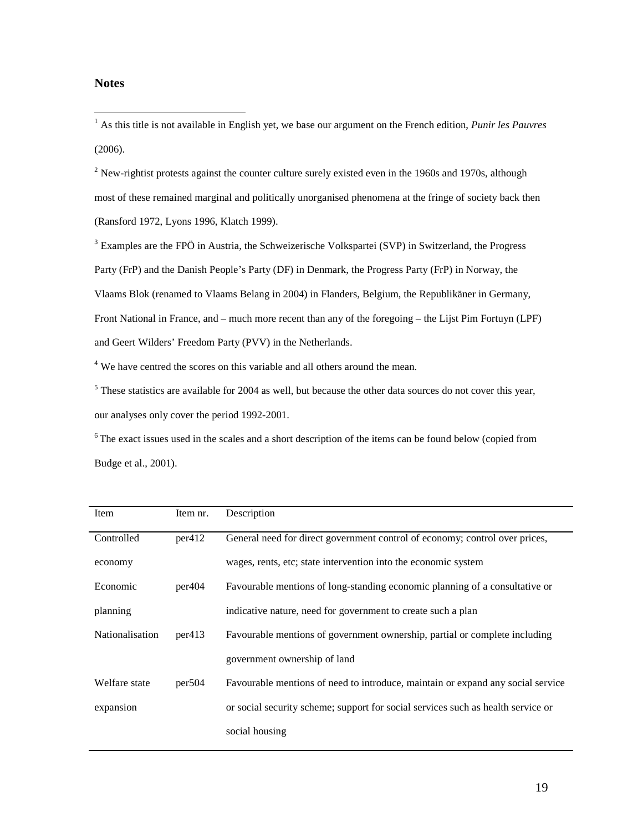## **Notes**

 1 As this title is not available in English yet, we base our argument on the French edition, *Punir les Pauvres* (2006).

 $2$  New-rightist protests against the counter culture surely existed even in the 1960s and 1970s, although most of these remained marginal and politically unorganised phenomena at the fringe of society back then (Ransford 1972, Lyons 1996, Klatch 1999).

 $3$  Examples are the FPÖ in Austria, the Schweizerische Volkspartei (SVP) in Switzerland, the Progress Party (FrP) and the Danish People's Party (DF) in Denmark, the Progress Party (FrP) in Norway, the Vlaams Blok (renamed to Vlaams Belang in 2004) in Flanders, Belgium, the Republikäner in Germany, Front National in France, and – much more recent than any of the foregoing – the Lijst Pim Fortuyn (LPF) and Geert Wilders' Freedom Party (PVV) in the Netherlands.

<sup>4</sup> We have centred the scores on this variable and all others around the mean.

<sup>5</sup> These statistics are available for 2004 as well, but because the other data sources do not cover this year, our analyses only cover the period 1992-2001.

 $6$ The exact issues used in the scales and a short description of the items can be found below (copied from Budge et al., 2001).

| Item            | Item nr. | Description                                                                      |
|-----------------|----------|----------------------------------------------------------------------------------|
| Controlled      | per412   | General need for direct government control of economy; control over prices,      |
| economy         |          | wages, rents, etc; state intervention into the economic system                   |
| Economic        | per404   | Favourable mentions of long-standing economic planning of a consultative or      |
| planning        |          | indicative nature, need for government to create such a plan                     |
| Nationalisation | per413   | Favourable mentions of government ownership, partial or complete including       |
|                 |          | government ownership of land                                                     |
| Welfare state   | per504   | Favourable mentions of need to introduce, maintain or expand any social service  |
| expansion       |          | or social security scheme; support for social services such as health service or |
|                 |          | social housing                                                                   |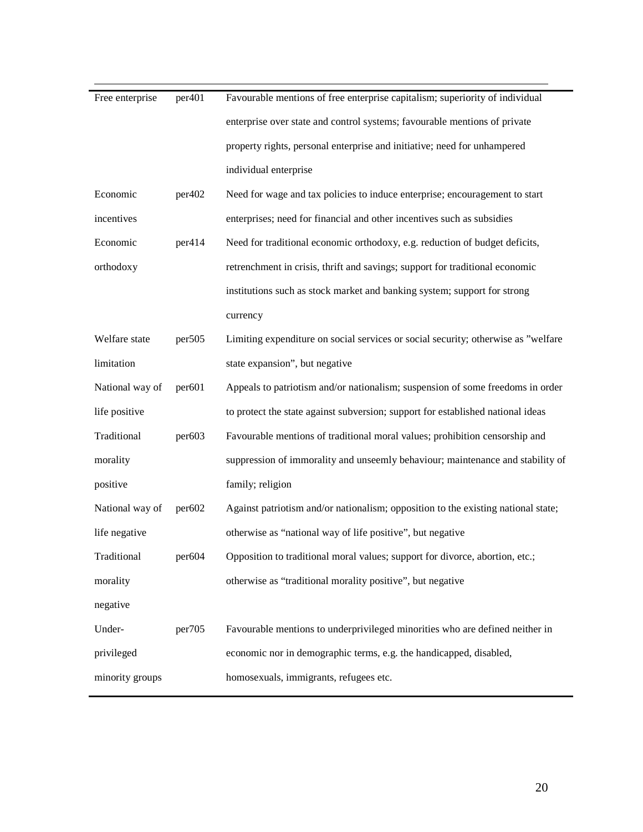| Free enterprise | per <sub>401</sub> | Favourable mentions of free enterprise capitalism; superiority of individual      |
|-----------------|--------------------|-----------------------------------------------------------------------------------|
|                 |                    | enterprise over state and control systems; favourable mentions of private         |
|                 |                    | property rights, personal enterprise and initiative; need for unhampered          |
|                 |                    | individual enterprise                                                             |
| Economic        | per402             | Need for wage and tax policies to induce enterprise; encouragement to start       |
| incentives      |                    | enterprises; need for financial and other incentives such as subsidies            |
| Economic        | per414             | Need for traditional economic orthodoxy, e.g. reduction of budget deficits,       |
| orthodoxy       |                    | retrenchment in crisis, thrift and savings; support for traditional economic      |
|                 |                    | institutions such as stock market and banking system; support for strong          |
|                 |                    | currency                                                                          |
| Welfare state   | per <sub>505</sub> | Limiting expenditure on social services or social security; otherwise as "welfare |
| limitation      |                    | state expansion", but negative                                                    |
| National way of | per601             | Appeals to patriotism and/or nationalism; suspension of some freedoms in order    |
| life positive   |                    | to protect the state against subversion; support for established national ideas   |
| Traditional     | per603             | Favourable mentions of traditional moral values; prohibition censorship and       |
| morality        |                    | suppression of immorality and unseemly behaviour; maintenance and stability of    |
| positive        |                    | family; religion                                                                  |
| National way of | per602             | Against patriotism and/or nationalism; opposition to the existing national state; |
| life negative   |                    | otherwise as "national way of life positive", but negative                        |
| Traditional     | per604             | Opposition to traditional moral values; support for divorce, abortion, etc.;      |
| morality        |                    | otherwise as "traditional morality positive", but negative                        |
| negative        |                    |                                                                                   |
| Under-          | per705             | Favourable mentions to underprivileged minorities who are defined neither in      |
| privileged      |                    | economic nor in demographic terms, e.g. the handicapped, disabled,                |
| minority groups |                    | homosexuals, immigrants, refugees etc.                                            |
|                 |                    |                                                                                   |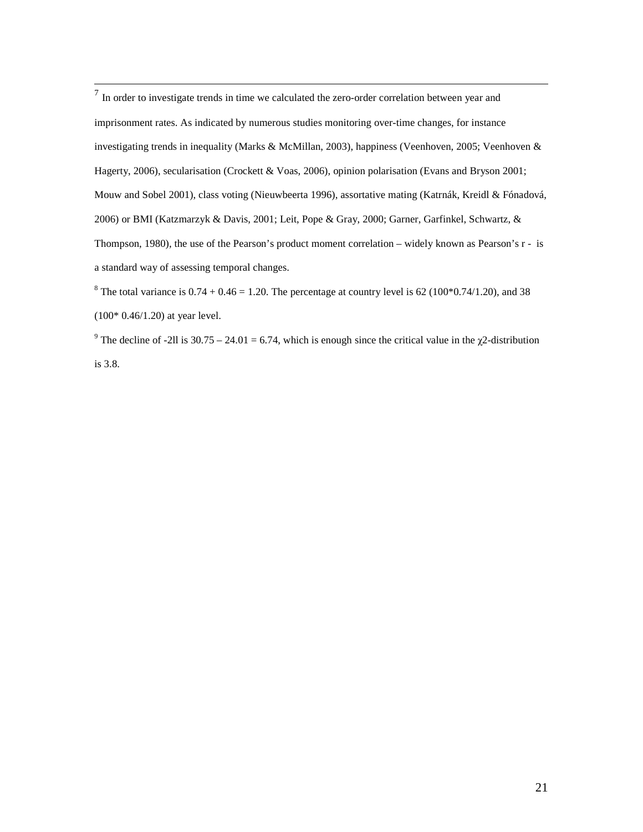$\frac{1}{7}$  In order to investigate trends in time we calculated the zero-order correlation between year and imprisonment rates. As indicated by numerous studies monitoring over-time changes, for instance investigating trends in inequality (Marks & McMillan, 2003), happiness (Veenhoven, 2005; Veenhoven & Hagerty, 2006), secularisation (Crockett & Voas, 2006), opinion polarisation (Evans and Bryson 2001; Mouw and Sobel 2001), class voting (Nieuwbeerta 1996), assortative mating (Katrnák, Kreidl & Fónadová, 2006) or BMI (Katzmarzyk & Davis, 2001; Leit, Pope & Gray, 2000; Garner, Garfinkel, Schwartz, & Thompson, 1980), the use of the Pearson's product moment correlation – widely known as Pearson's r - is a standard way of assessing temporal changes.

<sup>8</sup> The total variance is  $0.74 + 0.46 = 1.20$ . The percentage at country level is 62 (100 $*0.74/1.20$ ), and 38 (100\* 0.46/1.20) at year level.

<sup>9</sup> The decline of -2ll is 30.75 – 24.01 = 6.74, which is enough since the critical value in the  $\chi$ 2-distribution is 3.8.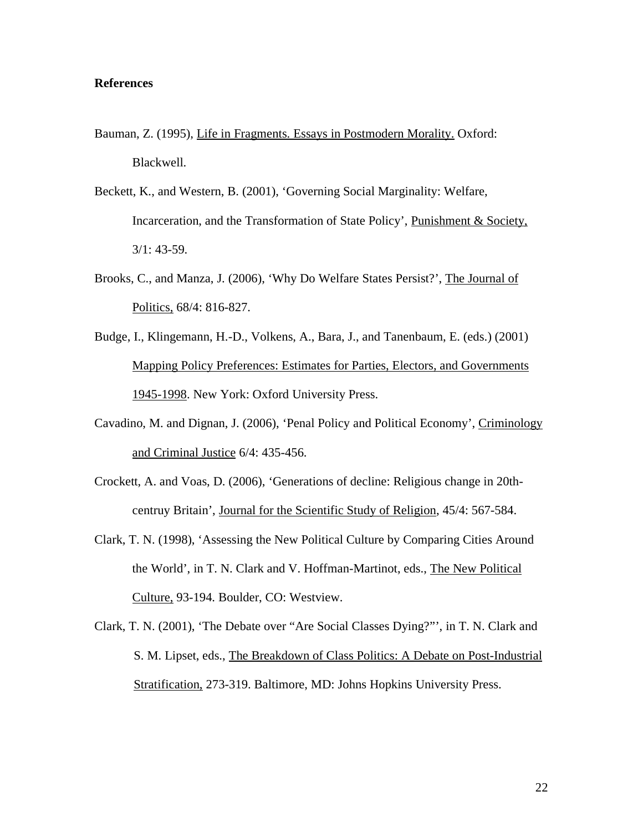### **References**

- Bauman, Z. (1995), Life in Fragments. Essays in Postmodern Morality. Oxford: Blackwell.
- Beckett, K., and Western, B. (2001), 'Governing Social Marginality: Welfare, Incarceration, and the Transformation of State Policy', Punishment & Society, 3/1: 43-59.
- Brooks, C., and Manza, J. (2006), 'Why Do Welfare States Persist?', The Journal of Politics, 68/4: 816-827.
- Budge, I., Klingemann, H.-D., Volkens, A., Bara, J., and Tanenbaum, E. (eds.) (2001) Mapping Policy Preferences: Estimates for Parties, Electors, and Governments 1945-1998. New York: Oxford University Press.
- Cavadino, M. and Dignan, J. (2006), 'Penal Policy and Political Economy', Criminology and Criminal Justice 6/4: 435-456.
- Crockett, A. and Voas, D. (2006), 'Generations of decline: Religious change in 20thcentruy Britain', Journal for the Scientific Study of Religion, 45/4: 567-584.
- Clark, T. N. (1998), 'Assessing the New Political Culture by Comparing Cities Around the World', in T. N. Clark and V. Hoffman-Martinot, eds., The New Political Culture, 93-194. Boulder, CO: Westview.
- Clark, T. N. (2001), 'The Debate over "Are Social Classes Dying?"', in T. N. Clark and S. M. Lipset, eds., The Breakdown of Class Politics: A Debate on Post-Industrial Stratification, 273-319. Baltimore, MD: Johns Hopkins University Press.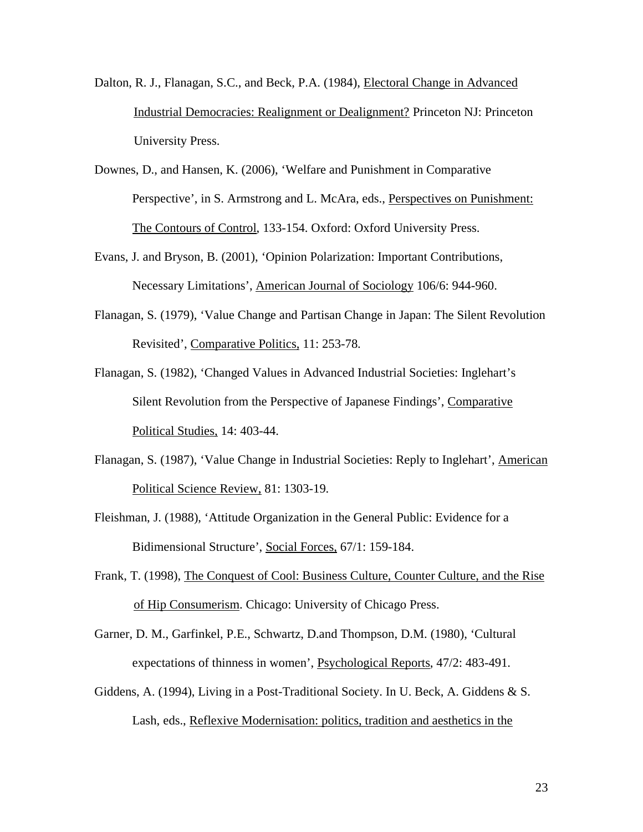- Dalton, R. J., Flanagan, S.C., and Beck, P.A. (1984), Electoral Change in Advanced Industrial Democracies: Realignment or Dealignment? Princeton NJ: Princeton University Press.
- Downes, D., and Hansen, K. (2006), 'Welfare and Punishment in Comparative Perspective', in S. Armstrong and L. McAra, eds., Perspectives on Punishment: The Contours of Control, 133-154. Oxford: Oxford University Press.
- Evans, J. and Bryson, B. (2001), 'Opinion Polarization: Important Contributions, Necessary Limitations', American Journal of Sociology 106/6: 944-960.
- Flanagan, S. (1979), 'Value Change and Partisan Change in Japan: The Silent Revolution Revisited', Comparative Politics, 11: 253-78.
- Flanagan, S. (1982), 'Changed Values in Advanced Industrial Societies: Inglehart's Silent Revolution from the Perspective of Japanese Findings', Comparative Political Studies, 14: 403-44.
- Flanagan, S. (1987), 'Value Change in Industrial Societies: Reply to Inglehart', American Political Science Review, 81: 1303-19.
- Fleishman, J. (1988), 'Attitude Organization in the General Public: Evidence for a Bidimensional Structure', Social Forces, 67/1: 159-184.
- Frank, T. (1998), The Conquest of Cool: Business Culture, Counter Culture, and the Rise of Hip Consumerism. Chicago: University of Chicago Press.
- Garner, D. M., Garfinkel, P.E., Schwartz, D.and Thompson, D.M. (1980), 'Cultural expectations of thinness in women', Psychological Reports, 47/2: 483-491.
- Giddens, A. (1994), Living in a Post-Traditional Society. In U. Beck, A. Giddens & S. Lash, eds., Reflexive Modernisation: politics, tradition and aesthetics in the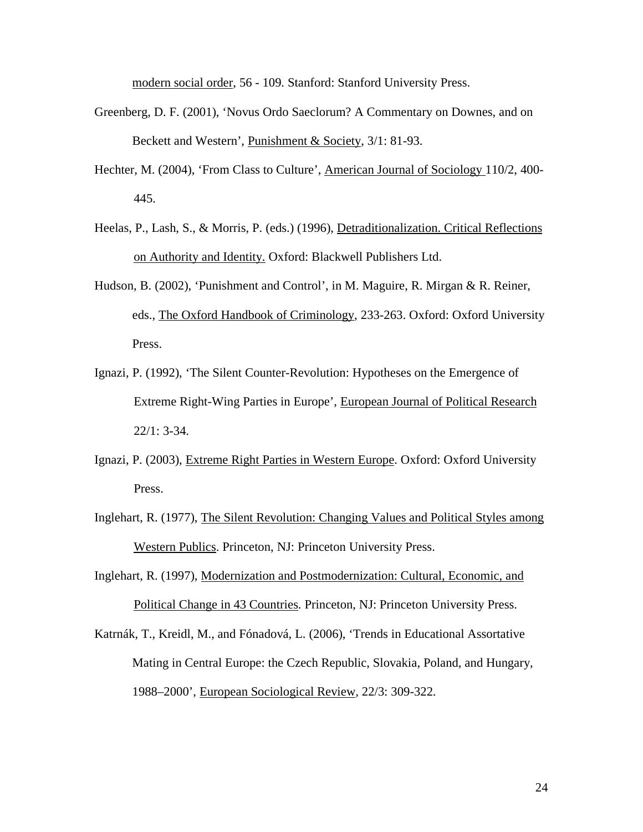modern social order, 56 - 109. Stanford: Stanford University Press.

- Greenberg, D. F. (2001), 'Novus Ordo Saeclorum? A Commentary on Downes, and on Beckett and Western', Punishment & Society, 3/1: 81-93.
- Hechter, M. (2004), 'From Class to Culture', American Journal of Sociology 110/2, 400- 445.
- Heelas, P., Lash, S., & Morris, P. (eds.) (1996), Detraditionalization. Critical Reflections on Authority and Identity. Oxford: Blackwell Publishers Ltd.
- Hudson, B. (2002), 'Punishment and Control', in M. Maguire, R. Mirgan & R. Reiner, eds., The Oxford Handbook of Criminology, 233-263. Oxford: Oxford University Press.
- Ignazi, P. (1992), 'The Silent Counter-Revolution: Hypotheses on the Emergence of Extreme Right-Wing Parties in Europe', European Journal of Political Research 22/1: 3-34.
- Ignazi, P. (2003), Extreme Right Parties in Western Europe. Oxford: Oxford University Press.
- Inglehart, R. (1977), The Silent Revolution: Changing Values and Political Styles among Western Publics. Princeton, NJ: Princeton University Press.
- Inglehart, R. (1997), Modernization and Postmodernization: Cultural, Economic, and Political Change in 43 Countries. Princeton, NJ: Princeton University Press.
- Katrnák, T., Kreidl, M., and Fónadová, L. (2006), 'Trends in Educational Assortative Mating in Central Europe: the Czech Republic, Slovakia, Poland, and Hungary, 1988–2000', European Sociological Review*,* 22/3: 309-322.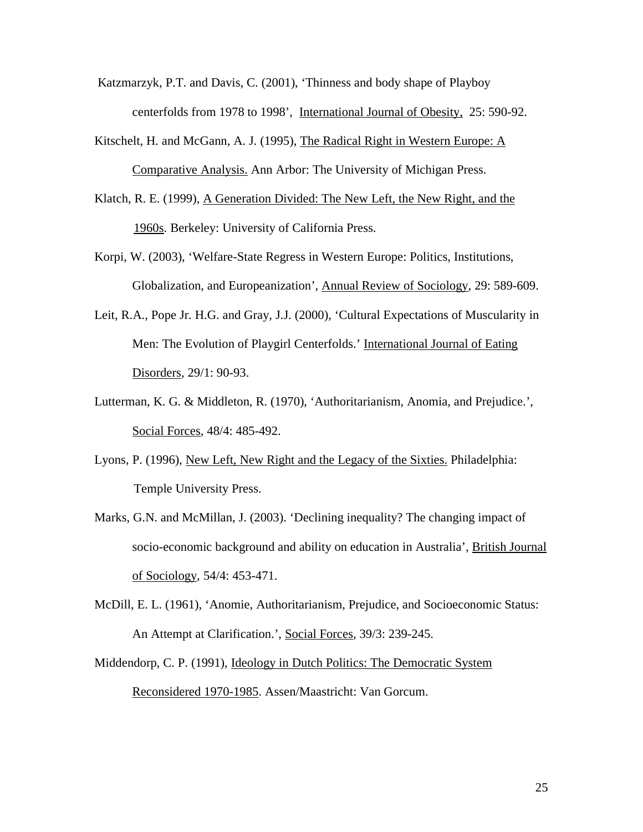Katzmarzyk, P.T. and Davis, C. (2001), 'Thinness and body shape of Playboy centerfolds from 1978 to 1998', International Journal of Obesity, 25: 590-92.

- Kitschelt, H. and McGann, A. J. (1995), The Radical Right in Western Europe: A Comparative Analysis. Ann Arbor: The University of Michigan Press.
- Klatch, R. E. (1999), A Generation Divided: The New Left, the New Right, and the 1960s. Berkeley: University of California Press.
- Korpi, W. (2003), 'Welfare-State Regress in Western Europe: Politics, Institutions, Globalization, and Europeanization', Annual Review of Sociology, 29: 589-609.
- Leit, R.A., Pope Jr. H.G. and Gray, J.J. (2000), 'Cultural Expectations of Muscularity in Men: The Evolution of Playgirl Centerfolds.' International Journal of Eating Disorders, 29/1: 90-93.
- Lutterman, K. G. & Middleton, R. (1970), 'Authoritarianism, Anomia, and Prejudice.', Social Forces, 48/4: 485-492.
- Lyons, P. (1996), New Left, New Right and the Legacy of the Sixties. Philadelphia: Temple University Press.
- Marks, G.N. and McMillan, J. (2003). 'Declining inequality? The changing impact of socio-economic background and ability on education in Australia', British Journal of Sociology, 54/4: 453-471.
- McDill, E. L. (1961), 'Anomie, Authoritarianism, Prejudice, and Socioeconomic Status: An Attempt at Clarification.', Social Forces, 39/3: 239-245.
- Middendorp, C. P. (1991), Ideology in Dutch Politics: The Democratic System Reconsidered 1970-1985. Assen/Maastricht: Van Gorcum.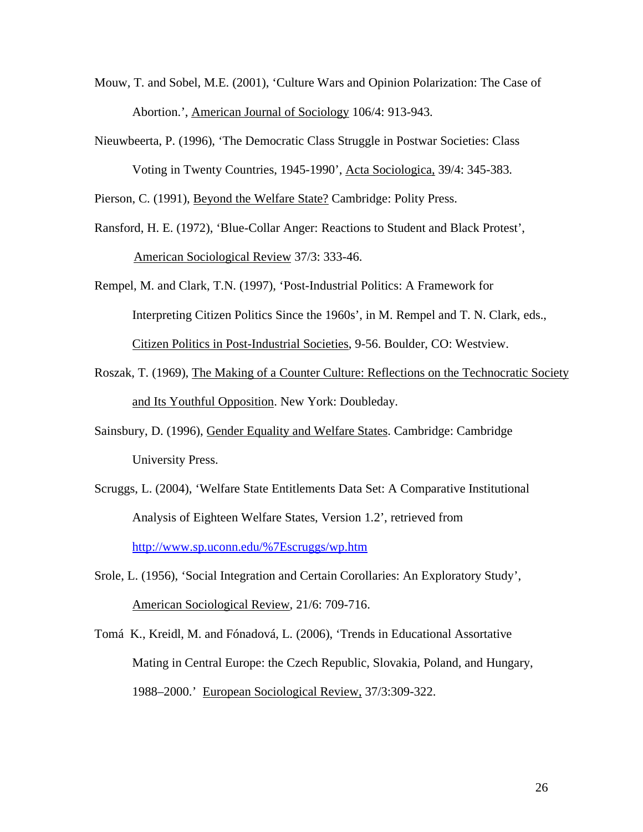- Mouw, T. and Sobel, M.E. (2001), 'Culture Wars and Opinion Polarization: The Case of Abortion.', American Journal of Sociology 106/4: 913-943.
- Nieuwbeerta, P. (1996), 'The Democratic Class Struggle in Postwar Societies: Class Voting in Twenty Countries, 1945-1990', Acta Sociologica, 39/4: 345-383.

Pierson, C. (1991), Beyond the Welfare State? Cambridge: Polity Press.

Ransford, H. E. (1972), 'Blue-Collar Anger: Reactions to Student and Black Protest', American Sociological Review 37/3: 333-46.

Rempel, M. and Clark, T.N. (1997), 'Post-Industrial Politics: A Framework for Interpreting Citizen Politics Since the 1960s', in M. Rempel and T. N. Clark, eds., Citizen Politics in Post-Industrial Societies, 9-56. Boulder, CO: Westview.

- Roszak, T. (1969), The Making of a Counter Culture: Reflections on the Technocratic Society and Its Youthful Opposition. New York: Doubleday.
- Sainsbury, D. (1996), Gender Equality and Welfare States. Cambridge: Cambridge University Press.
- Scruggs, L. (2004), 'Welfare State Entitlements Data Set: A Comparative Institutional Analysis of Eighteen Welfare States, Version 1.2', retrieved from http://www.sp.uconn.edu/%7Escruggs/wp.htm
- Srole, L. (1956), 'Social Integration and Certain Corollaries: An Exploratory Study', American Sociological Review, 21/6: 709-716.
- Tomá K., Kreidl, M. and Fónadová, L. (2006), 'Trends in Educational Assortative Mating in Central Europe: the Czech Republic, Slovakia, Poland, and Hungary, 1988–2000.' European Sociological Review, 37/3:309-322.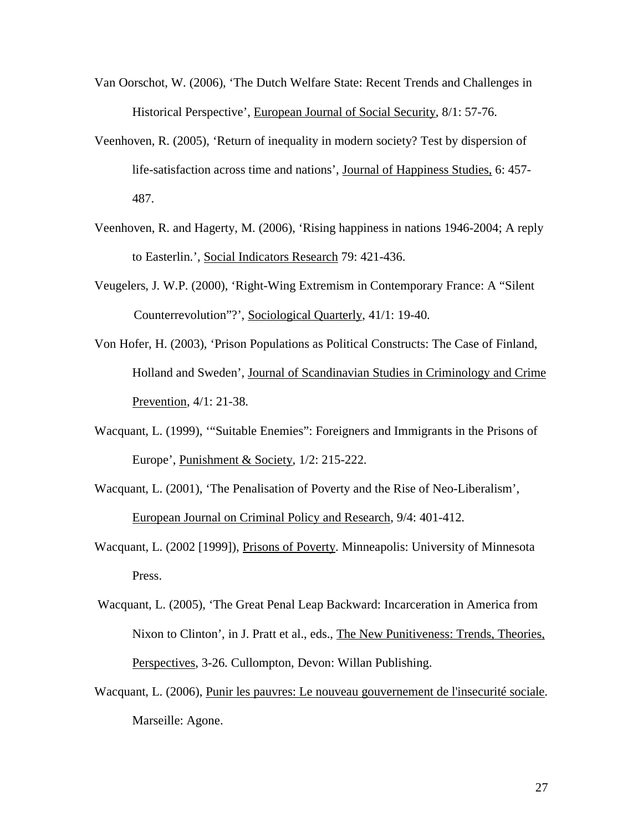- Van Oorschot, W. (2006), 'The Dutch Welfare State: Recent Trends and Challenges in Historical Perspective', European Journal of Social Security, 8/1: 57-76.
- Veenhoven, R. (2005), 'Return of inequality in modern society? Test by dispersion of life-satisfaction across time and nations', Journal of Happiness Studies, 6: 457- 487.
- Veenhoven, R. and Hagerty, M. (2006), 'Rising happiness in nations 1946-2004; A reply to Easterlin.', Social Indicators Research 79: 421-436.
- Veugelers, J. W.P. (2000), 'Right-Wing Extremism in Contemporary France: A "Silent Counterrevolution"?', Sociological Quarterly, 41/1: 19-40.
- Von Hofer, H. (2003), 'Prison Populations as Political Constructs: The Case of Finland, Holland and Sweden', Journal of Scandinavian Studies in Criminology and Crime Prevention, 4/1: 21-38.
- Wacquant, L. (1999), '"Suitable Enemies": Foreigners and Immigrants in the Prisons of Europe', Punishment & Society, 1/2: 215-222.
- Wacquant, L. (2001), 'The Penalisation of Poverty and the Rise of Neo-Liberalism', European Journal on Criminal Policy and Research, 9/4: 401-412.
- Wacquant, L. (2002 [1999]), Prisons of Poverty. Minneapolis: University of Minnesota Press.
- Wacquant, L. (2005), 'The Great Penal Leap Backward: Incarceration in America from Nixon to Clinton', in J. Pratt et al., eds., The New Punitiveness: Trends, Theories, Perspectives, 3-26. Cullompton, Devon: Willan Publishing.
- Wacquant, L. (2006), Punir les pauvres: Le nouveau gouvernement de l'insecurité sociale. Marseille: Agone.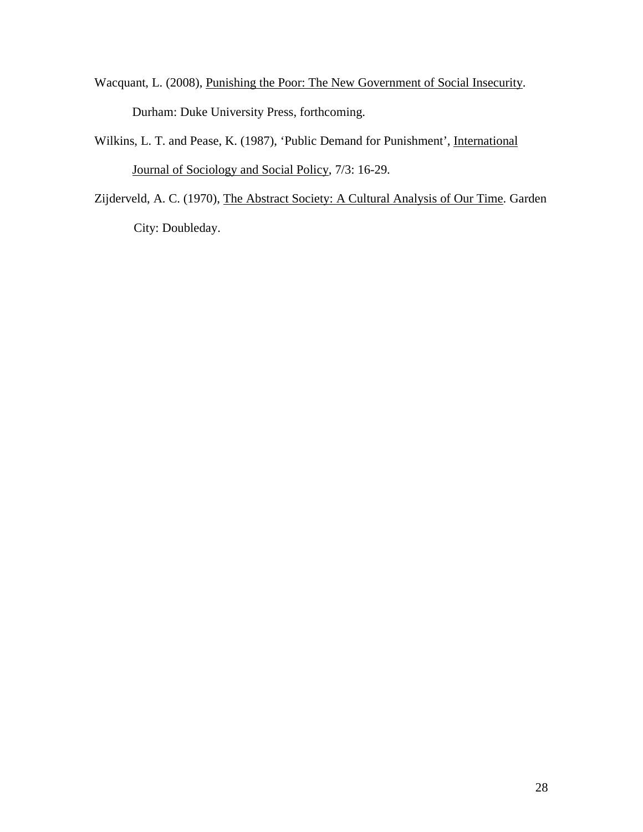- Wacquant, L. (2008), Punishing the Poor: The New Government of Social Insecurity. Durham: Duke University Press, forthcoming.
- Wilkins, L. T. and Pease, K. (1987), 'Public Demand for Punishment', International Journal of Sociology and Social Policy, 7/3: 16-29.
- Zijderveld, A. C. (1970), The Abstract Society: A Cultural Analysis of Our Time. Garden City: Doubleday.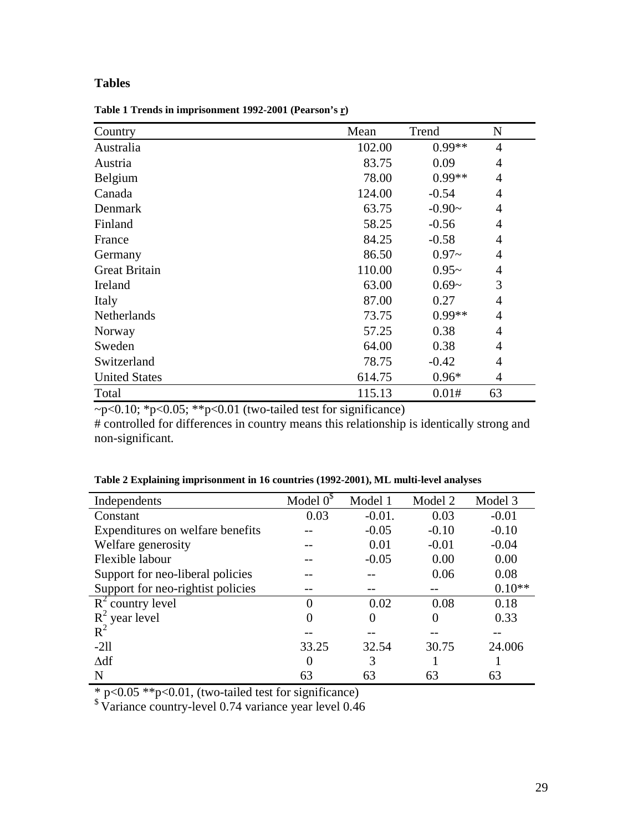# **Tables**

**Table 1 Trends in imprisonment 1992-2001 (Pearson's r)** 

| Country              | Mean   | Trend    | N              |
|----------------------|--------|----------|----------------|
| Australia            | 102.00 | $0.99**$ | $\overline{4}$ |
| Austria              | 83.75  | 0.09     | 4              |
| Belgium              | 78.00  | $0.99**$ | 4              |
| Canada               | 124.00 | $-0.54$  | $\overline{4}$ |
| Denmark              | 63.75  | $-0.90-$ | $\overline{4}$ |
| Finland              | 58.25  | $-0.56$  | $\overline{4}$ |
| France               | 84.25  | $-0.58$  | $\overline{4}$ |
| Germany              | 86.50  | $0.97 -$ | $\overline{4}$ |
| <b>Great Britain</b> | 110.00 | $0.95-$  | $\overline{4}$ |
| Ireland              | 63.00  | $0.69-$  | 3              |
| Italy                | 87.00  | 0.27     | $\overline{4}$ |
| Netherlands          | 73.75  | $0.99**$ | $\overline{4}$ |
| Norway               | 57.25  | 0.38     | $\overline{4}$ |
| Sweden               | 64.00  | 0.38     | 4              |
| Switzerland          | 78.75  | $-0.42$  | $\overline{4}$ |
| <b>United States</b> | 614.75 | $0.96*$  | 4              |
| Total                | 115.13 | 0.01#    | 63             |

 $\sim p < 0.10$ ; \*p $< 0.05$ ; \*\*p $< 0.01$  (two-tailed test for significance)

# controlled for differences in country means this relationship is identically strong and non-significant.

| Independents                      | Model $0^{\circ}$ | Model 1         | Model 2  | Model 3  |
|-----------------------------------|-------------------|-----------------|----------|----------|
| Constant                          | 0.03              | $-0.01$ .       | 0.03     | $-0.01$  |
| Expenditures on welfare benefits  |                   | $-0.05$         | $-0.10$  | $-0.10$  |
| Welfare generosity                |                   | 0.01<br>$-0.01$ |          | $-0.04$  |
| Flexible labour                   |                   | $-0.05$         | 0.00     | 0.00     |
| Support for neo-liberal policies  |                   |                 | 0.06     | 0.08     |
| Support for neo-rightist policies |                   |                 |          | $0.10**$ |
| $R^2$ country level               |                   | 0.02            | 0.08     | 0.18     |
| $R^2$ year level                  |                   | 0               | $\theta$ | 0.33     |
| $R^2$                             |                   |                 |          |          |
| $-211$                            | 33.25             | 32.54           | 30.75    | 24.006   |
| $\Delta df$                       | $\Omega$          | 3               |          |          |
| N                                 | 63                | 63              | 63       | 63       |

**Table 2 Explaining imprisonment in 16 countries (1992-2001), ML multi-level analyses** 

\* p<0.05 \*\*p<0.01, (two-tailed test for significance)

\$ Variance country-level 0.74 variance year level 0.46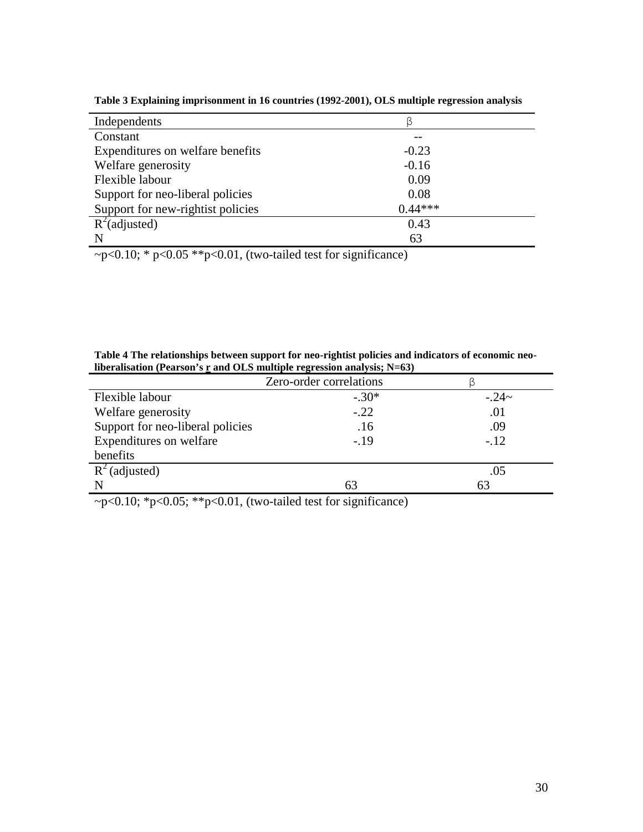| Independents                      | ß         |
|-----------------------------------|-----------|
| Constant                          |           |
| Expenditures on welfare benefits  | $-0.23$   |
| Welfare generosity                | $-0.16$   |
| Flexible labour                   | 0.09      |
| Support for neo-liberal policies  | 0.08      |
| Support for new-rightist policies | $0.44***$ |
| $R^2$ (adjusted)                  | 0.43      |
| N                                 | 63        |

**Table 3 Explaining imprisonment in 16 countries (1992-2001), OLS multiple regression analysis** 

 $\neg p < 0.10$ ; \*  $p < 0.05$  \*\*  $p < 0.01$ , (two-tailed test for significance)

| Table 4 The relationships between support for neo-rightist policies and indicators of economic neo- |
|-----------------------------------------------------------------------------------------------------|
| liberalisation (Pearson's $\underline{r}$ and OLS multiple regression analysis; N=63)               |

| Zero-order correlations          |         |         |  |  |  |  |
|----------------------------------|---------|---------|--|--|--|--|
| Flexible labour                  | $-.30*$ | $-.24-$ |  |  |  |  |
| Welfare generosity               | $-.22$  | .01     |  |  |  |  |
| Support for neo-liberal policies | .16     | .09     |  |  |  |  |
| Expenditures on welfare          | $-.19$  | $-.12$  |  |  |  |  |
| benefits                         |         |         |  |  |  |  |
| $R^2$ (adjusted)                 |         | .05     |  |  |  |  |
|                                  | 63      |         |  |  |  |  |

 $-p<0.10$ ; \*p<0.05; \*\*p<0.01, (two-tailed test for significance)